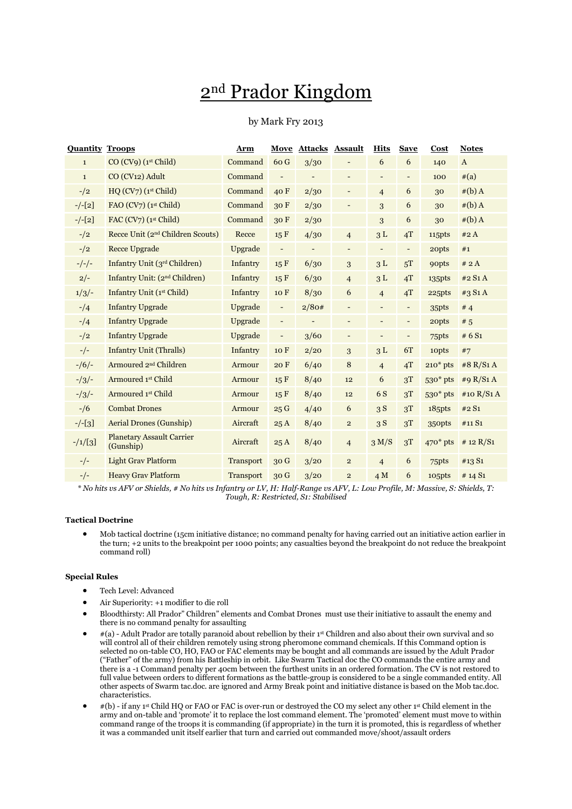# 2nd Prador Kingdom

# by Mark Fry 2013

| <b>Quantity Troops</b> |                                               | Arm              | Move                         | <b>Attacks Assault</b>   |                          | <b>Hits</b>              | <b>Save</b>              | Cost                  | <b>Notes</b> |
|------------------------|-----------------------------------------------|------------------|------------------------------|--------------------------|--------------------------|--------------------------|--------------------------|-----------------------|--------------|
| $\mathbf{1}$           | CO (CV9) (1 <sup>st</sup> Child)              | Command          | 60 G                         | 3/30                     |                          | 6                        | 6                        | 140                   | $\mathbf{A}$ |
| $\mathbf{1}$           | CO (CV <sub>12</sub> ) Adult                  | Command          | $\overline{\phantom{a}}$     | $\overline{\phantom{0}}$ | $\overline{\phantom{a}}$ | $\overline{\phantom{a}}$ | ٠                        | 100                   | #(a)         |
| $-1/2$                 | HQ (CV7) (1 <sup>st</sup> Child)              | Command          | 40F                          | 2/30                     | $\overline{\phantom{a}}$ | $\overline{4}$           | 6                        | 30                    | $#(b)$ A     |
| $-/-[2]$               | FAO (CV7) (1st Child)                         | Command          | 30F                          | 2/30                     | $\overline{a}$           | 3                        | 6                        | 30                    | $#(b)$ A     |
| $-/-[2]$               | FAC $(CV7)(1st Child)$                        | Command          | 30F                          | 2/30                     |                          | 3                        | 6                        | 30                    | $#(b)$ A     |
| $-1/2$                 | Recce Unit (2 <sup>nd</sup> Children Scouts)  | Recce            | 15 F                         | 4/30                     | $\overline{4}$           | 3L                       | 4T                       | 115pts                | #2A          |
| $-1/2$                 | <b>Recce Upgrade</b>                          | Upgrade          | $\qquad \qquad \blacksquare$ | $\overline{\phantom{0}}$ | $\overline{\phantom{a}}$ | $\overline{\phantom{a}}$ | $\overline{\phantom{a}}$ | 20pts                 | #1           |
| $-/-/-$                | Infantry Unit (3rd Children)                  | Infantry         | 15F                          | 6/30                     | 3                        | 3L                       | 5T                       | <b>90pts</b>          | # 2A         |
| $2/-$                  | Infantry Unit: (2 <sup>nd</sup> Children)     | Infantry         | 15 F                         | 6/30                     | $\overline{4}$           | 3L                       | 4T                       | 135pts                | #2 S1 A      |
| 1/3/                   | Infantry Unit (1st Child)                     | Infantry         | 10 F                         | 8/30                     | 6                        | $\overline{4}$           | 4T                       | 225pts                | #3 S1 A      |
| $-1/4$                 | <b>Infantry Upgrade</b>                       | Upgrade          | -                            | 2/80#                    | -                        | $\overline{\phantom{a}}$ | -                        | 35pts                 | #4           |
| $-1/4$                 | <b>Infantry Upgrade</b>                       | Upgrade          | $\overline{\phantom{a}}$     | $\overline{\phantom{0}}$ | $\overline{\phantom{a}}$ | $\overline{\phantom{a}}$ | $\overline{\phantom{a}}$ | 20pts                 | # 5          |
| $-1/2$                 | <b>Infantry Upgrade</b>                       | Upgrade          | $\overline{\phantom{a}}$     | 3/60                     | $\overline{\phantom{a}}$ | $\overline{\phantom{a}}$ | $\overline{\phantom{a}}$ | 75pts                 | # $6S1$      |
| $-/-$                  | <b>Infantry Unit (Thralls)</b>                | Infantry         | 10F                          | 2/20                     | 3                        | 3L                       | 6T                       | 10pts                 | #7           |
| $-1/6$                 | Armoured 2 <sup>nd</sup> Children             | Armour           | 20 F                         | 6/40                     | 8                        | $\overline{4}$           | 4T                       | $210*$ pts            | #8 R/S1 A    |
| $-1/3$                 | Armoured 1st Child                            | Armour           | 15 F                         | 8/40                     | 12                       | 6                        | 3T                       | $530*$ pts            | #9 $R/S1A$   |
| $-1/3$                 | Armoured 1st Child                            | Armour           | 15 F                         | 8/40                     | 12                       | 6 S                      | 3T                       | 530* pts              | #10 $R/S1A$  |
| $- / 6$                | <b>Combat Drones</b>                          | Armour           | 25G                          | 4/40                     | $\boldsymbol{6}$         | 3S                       | 3T                       | $18$ <sub>5</sub> pts | #2 S1        |
| $-/-[3]$               | <b>Aerial Drones (Gunship)</b>                | Aircraft         | 25A                          | 8/40                     | $\overline{c}$           | 3S                       | 3T                       | 350pts                | #11 S1       |
| $-1/[3]$               | <b>Planetary Assault Carrier</b><br>(Gunship) | Aircraft         | 25A                          | 8/40                     | $\overline{4}$           | 3 M/S                    | 3T                       | $470*$ pts            | # 12 $R/S1$  |
| $-/-$                  | <b>Light Grav Platform</b>                    | Transport        | 30G                          | 3/20                     | $\mathbf{2}$             | $\overline{4}$           | 6                        | 75pts                 | #13 S1       |
| $-/-$                  | <b>Heavy Grav Platform</b>                    | <b>Transport</b> | 30 <sub>G</sub>              | 3/20                     | $\overline{2}$           | 4M                       | 6                        | 105pts                | # 14 $S_1$   |

*\* No hits vs AFV or Shields, # No hits vs Infantry or LV, H: Half-Range vs AFV, L: Low Profile, M: Massive, S: Shields, T: Tough, R: Restricted, S1: Stabilised*

# **Tactical Doctrine**

 Mob tactical doctrine (15cm initiative distance; no command penalty for having carried out an initiative action earlier in the turn; +2 units to the breakpoint per 1000 points; any casualties beyond the breakpoint do not reduce the breakpoint command roll)

## **Special Rules**

- Tech Level: Advanced
- Air Superiority: +1 modifier to die roll
- Bloodthirsty: All Prador" Children" elements and Combat Drones must use their initiative to assault the enemy and there is no command penalty for assaulting
- #(a) Adult Prador are totally paranoid about rebellion by their 1st Children and also about their own survival and so will control all of their children remotely using strong pheromone command chemicals. If this Command option is selected no on-table CO, HO, FAO or FAC elements may be bought and all commands are issued by the Adult Prador ("Father" of the army) from his Battleship in orbit. Like Swarm Tactical doc the CO commands the entire army and there is a -1 Command penalty per 40cm between the furthest units in an ordered formation. The CV is not restored to full value between orders to different formations as the battle-group is considered to be a single commanded entity. All other aspects of Swarm tac.doc. are ignored and Army Break point and initiative distance is based on the Mob tac.doc. characteristics.
- $\bullet$  #(b) if any 1<sup>st</sup> Child HQ or FAO or FAC is over-run or destroyed the CO my select any other 1<sup>st</sup> Child element in the army and on-table and 'promote' it to replace the lost command element. The 'promoted' element must move to within command range of the troops it is commanding (if appropriate) in the turn it is promoted, this is regardless of whether it was a commanded unit itself earlier that turn and carried out commanded move/shoot/assault orders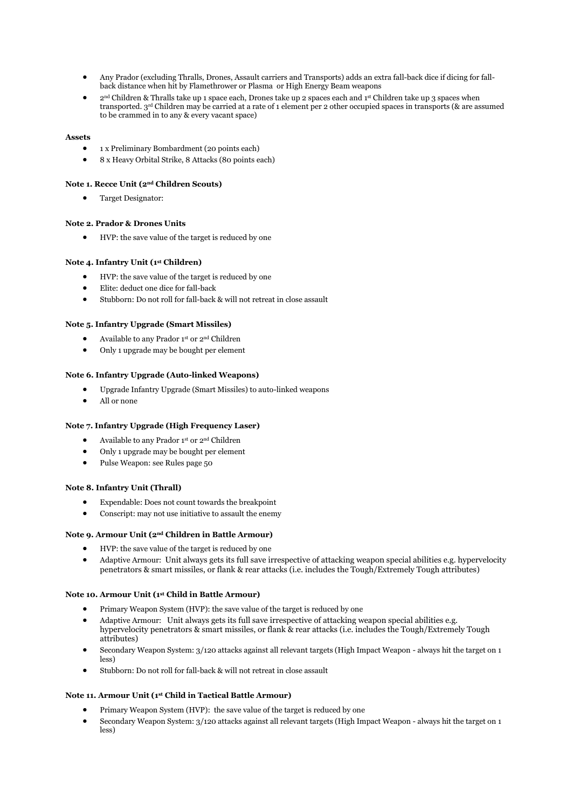- Any Prador (excluding Thralls, Drones, Assault carriers and Transports) adds an extra fall-back dice if dicing for fallback distance when hit by Flamethrower or Plasma or High Energy Beam weapons
- 2nd Children & Thralls take up 1 space each, Drones take up 2 spaces each and 1st Children take up 3 spaces when transported. 3rd Children may be carried at a rate of 1 element per 2 other occupied spaces in transports (& are assumed to be crammed in to any & every vacant space)

# **Assets**

- 1 x Preliminary Bombardment (20 points each)
- 8 x Heavy Orbital Strike, 8 Attacks (80 points each)

# **Note 1. Recce Unit (2nd Children Scouts)**

Target Designator:

## **Note 2. Prador & Drones Units**

HVP: the save value of the target is reduced by one

# **Note 4. Infantry Unit (1st Children)**

- HVP: the save value of the target is reduced by one
- Elite: deduct one dice for fall-back
- Stubborn: Do not roll for fall-back & will not retreat in close assault

## **Note 5. Infantry Upgrade (Smart Missiles)**

- Available to any Prador 1st or 2nd Children
- Only 1 upgrade may be bought per element

## **Note 6. Infantry Upgrade (Auto-linked Weapons)**

- Upgrade Infantry Upgrade (Smart Missiles) to auto-linked weapons
- All or none

#### **Note 7. Infantry Upgrade (High Frequency Laser)**

- Available to any Prador 1st or 2nd Children
- Only 1 upgrade may be bought per element
- Pulse Weapon: see Rules page 50

#### **Note 8. Infantry Unit (Thrall)**

- Expendable: Does not count towards the breakpoint
- Conscript: may not use initiative to assault the enemy

#### **Note 9. Armour Unit (2nd Children in Battle Armour)**

- HVP: the save value of the target is reduced by one
- Adaptive Armour: Unit always gets its full save irrespective of attacking weapon special abilities e.g. hypervelocity penetrators & smart missiles, or flank & rear attacks (i.e. includes the Tough/Extremely Tough attributes)

# **Note 10. Armour Unit (1st Child in Battle Armour)**

- Primary Weapon System (HVP): the save value of the target is reduced by one
- Adaptive Armour: Unit always gets its full save irrespective of attacking weapon special abilities e.g. hypervelocity penetrators & smart missiles, or flank & rear attacks (i.e. includes the Tough/Extremely Tough attributes)
- Secondary Weapon System: 3/120 attacks against all relevant targets (High Impact Weapon always hit the target on 1 less)
- Stubborn: Do not roll for fall-back & will not retreat in close assault

#### **Note 11. Armour Unit (1st Child in Tactical Battle Armour)**

- Primary Weapon System (HVP): the save value of the target is reduced by one
- Secondary Weapon System: 3/120 attacks against all relevant targets (High Impact Weapon always hit the target on 1 less)